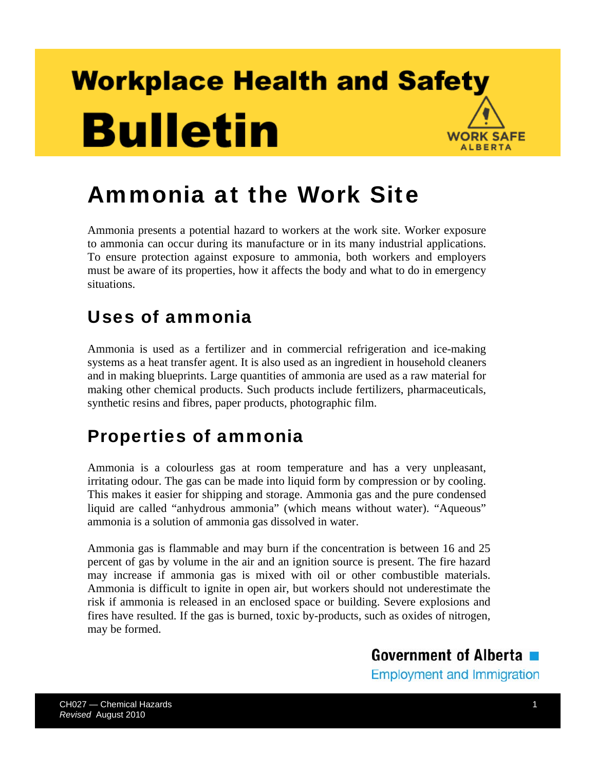## **Workplace Health and Safety Bulletin WORK SAFE ALBERTA**

# Ammonia at the Work Site

Ammonia presents a potential hazard to workers at the work site. Worker exposure to ammonia can occur during its manufacture or in its many industrial applications. To ensure protection against exposure to ammonia, both workers and employers must be aware of its properties, how it affects the body and what to do in emergency situations.

### Uses of ammonia

Ammonia is used as a fertilizer and in commercial refrigeration and ice-making systems as a heat transfer agent. It is also used as an ingredient in household cleaners and in making blueprints. Large quantities of ammonia are used as a raw material for making other chemical products. Such products include fertilizers, pharmaceuticals, synthetic resins and fibres, paper products, photographic film.

### Properties of ammonia

Ammonia is a colourless gas at room temperature and has a very unpleasant, irritating odour. The gas can be made into liquid form by compression or by cooling. This makes it easier for shipping and storage. Ammonia gas and the pure condensed liquid are called "anhydrous ammonia" (which means without water). "Aqueous" ammonia is a solution of ammonia gas dissolved in water.

Ammonia gas is flammable and may burn if the concentration is between 16 and 25 percent of gas by volume in the air and an ignition source is present. The fire hazard may increase if ammonia gas is mixed with oil or other combustible materials. Ammonia is difficult to ignite in open air, but workers should not underestimate the risk if ammonia is released in an enclosed space or building. Severe explosions and fires have resulted. If the gas is burned, toxic by-products, such as oxides of nitrogen, may be formed.

# Government of Alberta

**Employment and Immigration**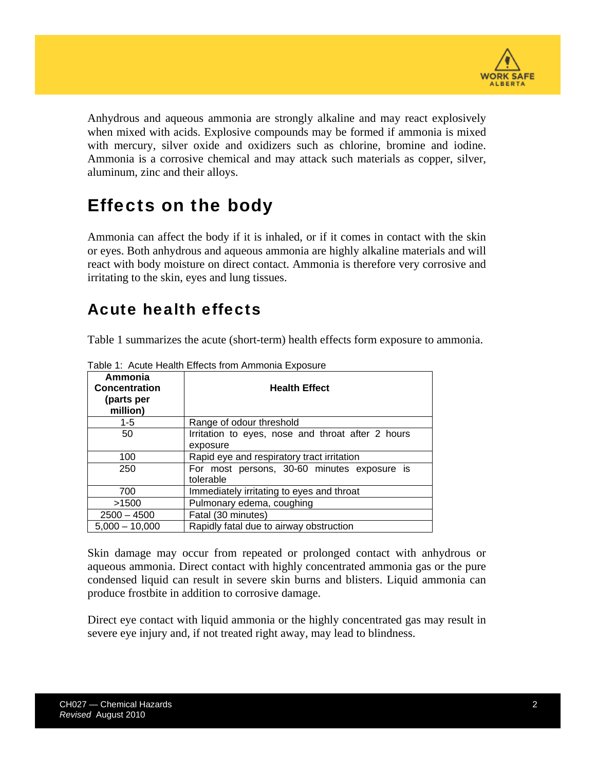

Anhydrous and aqueous ammonia are strongly alkaline and may react explosively when mixed with acids. Explosive compounds may be formed if ammonia is mixed with mercury, silver oxide and oxidizers such as chlorine, bromine and iodine. Ammonia is a corrosive chemical and may attack such materials as copper, silver, aluminum, zinc and their alloys.

### Effects on the body

Ammonia can affect the body if it is inhaled, or if it comes in contact with the skin or eyes. Both anhydrous and aqueous ammonia are highly alkaline materials and will react with body moisture on direct contact. Ammonia is therefore very corrosive and irritating to the skin, eyes and lung tissues.

#### Acute health effects

Table 1 summarizes the acute (short-term) health effects form exposure to ammonia.

| Ammonia<br><b>Concentration</b><br>(parts per<br>million) | <b>Health Effect</b>                                          |
|-----------------------------------------------------------|---------------------------------------------------------------|
| $1 - 5$                                                   | Range of odour threshold                                      |
| 50                                                        | Irritation to eyes, nose and throat after 2 hours<br>exposure |
| 100                                                       | Rapid eye and respiratory tract irritation                    |
| 250                                                       | For most persons, 30-60 minutes exposure is<br>tolerable      |
| 700                                                       | Immediately irritating to eyes and throat                     |
| >1500                                                     | Pulmonary edema, coughing                                     |
| $2500 - 4500$                                             | Fatal (30 minutes)                                            |
| $5.000 - 10.000$                                          | Rapidly fatal due to airway obstruction                       |

Table 1: Acute Health Effects from Ammonia Exposure

Skin damage may occur from repeated or prolonged contact with anhydrous or aqueous ammonia. Direct contact with highly concentrated ammonia gas or the pure condensed liquid can result in severe skin burns and blisters. Liquid ammonia can produce frostbite in addition to corrosive damage.

Direct eye contact with liquid ammonia or the highly concentrated gas may result in severe eye injury and, if not treated right away, may lead to blindness.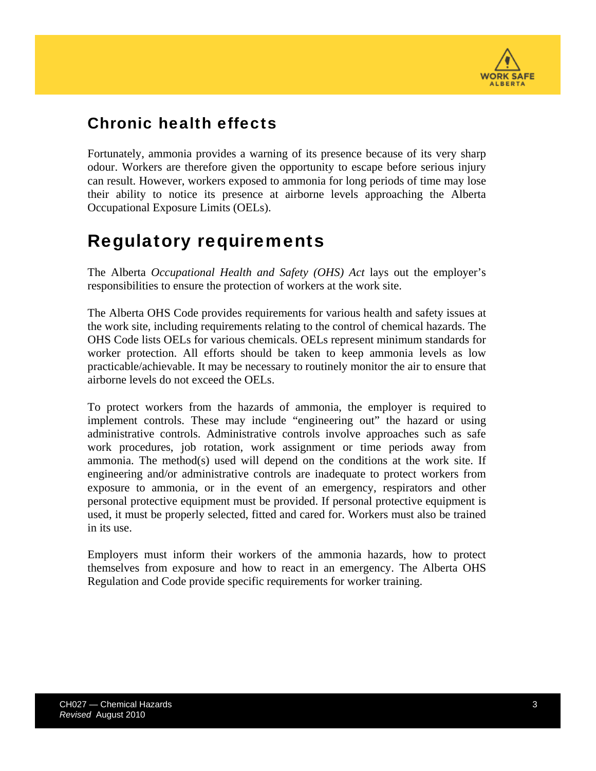

#### Chronic health effects

Fortunately, ammonia provides a warning of its presence because of its very sharp odour. Workers are therefore given the opportunity to escape before serious injury can result. However, workers exposed to ammonia for long periods of time may lose their ability to notice its presence at airborne levels approaching the Alberta Occupational Exposure Limits (OELs).

#### Regulatory requirements

The Alberta *Occupational Health and Safety (OHS) Act* lays out the employer's responsibilities to ensure the protection of workers at the work site.

The Alberta OHS Code provides requirements for various health and safety issues at the work site, including requirements relating to the control of chemical hazards. The OHS Code lists OELs for various chemicals. OELs represent minimum standards for worker protection. All efforts should be taken to keep ammonia levels as low practicable/achievable. It may be necessary to routinely monitor the air to ensure that airborne levels do not exceed the OELs.

To protect workers from the hazards of ammonia, the employer is required to implement controls. These may include "engineering out" the hazard or using administrative controls. Administrative controls involve approaches such as safe work procedures, job rotation, work assignment or time periods away from ammonia. The method(s) used will depend on the conditions at the work site. If engineering and/or administrative controls are inadequate to protect workers from exposure to ammonia, or in the event of an emergency, respirators and other personal protective equipment must be provided. If personal protective equipment is used, it must be properly selected, fitted and cared for. Workers must also be trained in its use.

Employers must inform their workers of the ammonia hazards, how to protect themselves from exposure and how to react in an emergency. The Alberta OHS Regulation and Code provide specific requirements for worker training.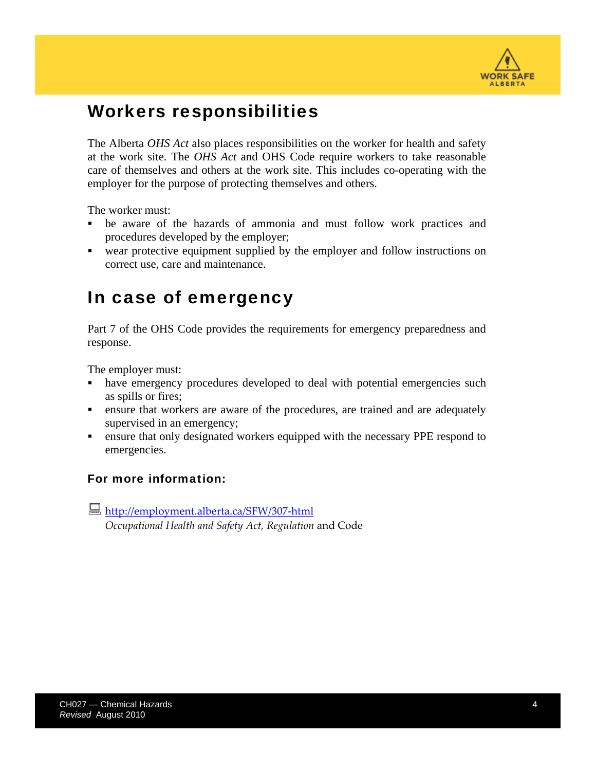

#### Workers responsibilities

The Alberta *OHS Act* also places responsibilities on the worker for health and safety at the work site. The *OHS Act* and OHS Code require workers to take reasonable care of themselves and others at the work site. This includes co-operating with the employer for the purpose of protecting themselves and others.

The worker must:

- be aware of the hazards of ammonia and must follow work practices and procedures developed by the employer;
- wear protective equipment supplied by the employer and follow instructions on correct use, care and maintenance.

#### In case of emergency

Part 7 of the OHS Code provides the requirements for emergency preparedness and response.

The employer must:

- have emergency procedures developed to deal with potential emergencies such as spills or fires;
- ensure that workers are aware of the procedures, are trained and are adequately supervised in an emergency;
- ensure that only designated workers equipped with the necessary PPE respond to emergencies.

#### For more information:

[http://employment.alberta.ca/SFW/307](http://employment.alberta.ca/SFW/307-html)-html

*Occupational Health and Safety Act, Regulation* and Code